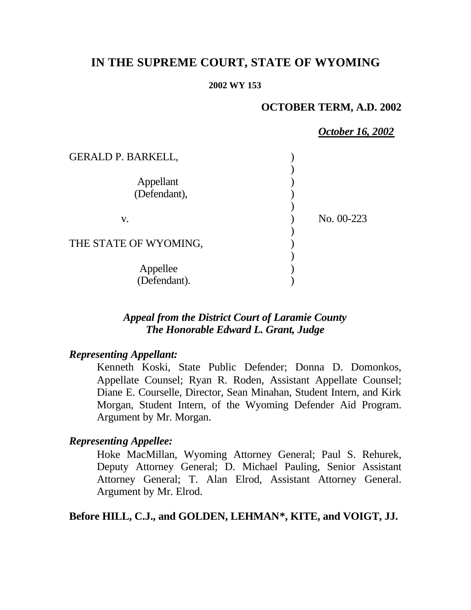# **IN THE SUPREME COURT, STATE OF WYOMING**

#### **2002 WY 153**

### **OCTOBER TERM, A.D. 2002**

*October 16, 2002*

| <b>GERALD P. BARKELL,</b> |            |
|---------------------------|------------|
|                           |            |
| Appellant                 |            |
| (Defendant),              |            |
|                           |            |
| v.                        | No. 00-223 |
|                           |            |
| THE STATE OF WYOMING,     |            |
|                           |            |
| Appellee<br>(Defendant).  |            |
|                           |            |

## *Appeal from the District Court of Laramie County The Honorable Edward L. Grant, Judge*

### *Representing Appellant:*

Kenneth Koski, State Public Defender; Donna D. Domonkos, Appellate Counsel; Ryan R. Roden, Assistant Appellate Counsel; Diane E. Courselle, Director, Sean Minahan, Student Intern, and Kirk Morgan, Student Intern, of the Wyoming Defender Aid Program. Argument by Mr. Morgan.

## *Representing Appellee:*

Hoke MacMillan, Wyoming Attorney General; Paul S. Rehurek, Deputy Attorney General; D. Michael Pauling, Senior Assistant Attorney General; T. Alan Elrod, Assistant Attorney General. Argument by Mr. Elrod.

## **Before HILL, C.J., and GOLDEN, LEHMAN\*, KITE, and VOIGT, JJ.**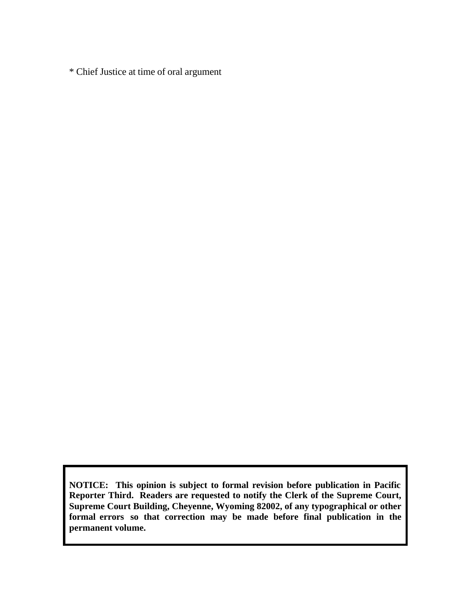\* Chief Justice at time of oral argument

**NOTICE: This opinion is subject to formal revision before publication in Pacific Reporter Third. Readers are requested to notify the Clerk of the Supreme Court, Supreme Court Building, Cheyenne, Wyoming 82002, of any typographical or other formal errors so that correction may be made before final publication in the permanent volume.**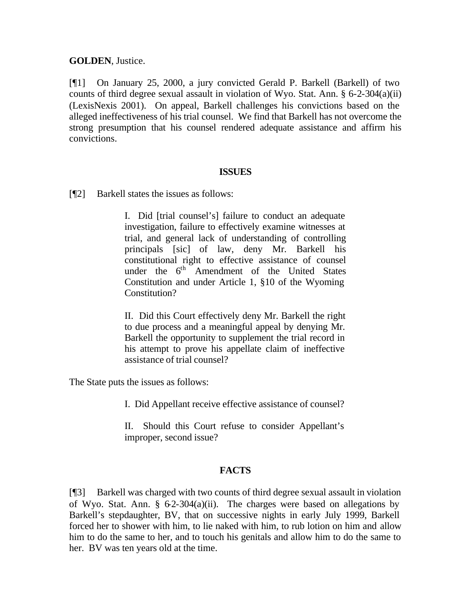**GOLDEN**, Justice.

[¶1] On January 25, 2000, a jury convicted Gerald P. Barkell (Barkell) of two counts of third degree sexual assault in violation of Wyo. Stat. Ann. § 6-2-304(a)(ii) (LexisNexis 2001). On appeal, Barkell challenges his convictions based on the alleged ineffectiveness of his trial counsel. We find that Barkell has not overcome the strong presumption that his counsel rendered adequate assistance and affirm his convictions.

#### **ISSUES**

[¶2] Barkell states the issues as follows:

I. Did [trial counsel's] failure to conduct an adequate investigation, failure to effectively examine witnesses at trial, and general lack of understanding of controlling principals [sic] of law, deny Mr. Barkell his constitutional right to effective assistance of counsel under the  $6<sup>th</sup>$  Amendment of the United States Constitution and under Article 1, §10 of the Wyoming Constitution?

II. Did this Court effectively deny Mr. Barkell the right to due process and a meaningful appeal by denying Mr. Barkell the opportunity to supplement the trial record in his attempt to prove his appellate claim of ineffective assistance of trial counsel?

The State puts the issues as follows:

I. Did Appellant receive effective assistance of counsel?

II. Should this Court refuse to consider Appellant's improper, second issue?

#### **FACTS**

[¶3] Barkell was charged with two counts of third degree sexual assault in violation of Wyo. Stat. Ann.  $\S$  62-304(a)(ii). The charges were based on allegations by Barkell's stepdaughter, BV, that on successive nights in early July 1999, Barkell forced her to shower with him, to lie naked with him, to rub lotion on him and allow him to do the same to her, and to touch his genitals and allow him to do the same to her. BV was ten years old at the time.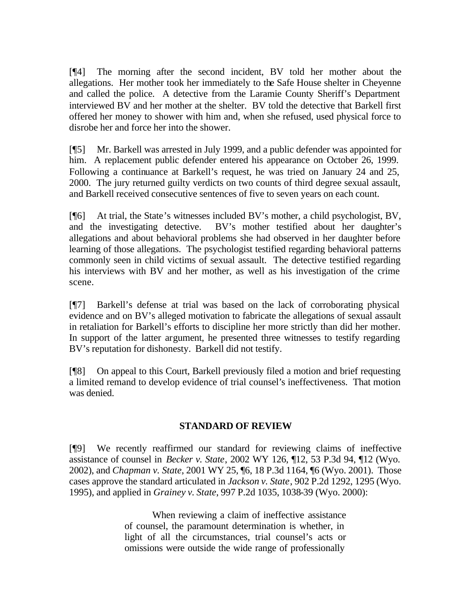[¶4] The morning after the second incident, BV told her mother about the allegations. Her mother took her immediately to the Safe House shelter in Cheyenne and called the police. A detective from the Laramie County Sheriff's Department interviewed BV and her mother at the shelter. BV told the detective that Barkell first offered her money to shower with him and, when she refused, used physical force to disrobe her and force her into the shower.

[¶5] Mr. Barkell was arrested in July 1999, and a public defender was appointed for him. A replacement public defender entered his appearance on October 26, 1999. Following a continuance at Barkell's request, he was tried on January 24 and 25, 2000. The jury returned guilty verdicts on two counts of third degree sexual assault, and Barkell received consecutive sentences of five to seven years on each count.

[¶6] At trial, the State's witnesses included BV's mother, a child psychologist, BV, and the investigating detective. BV's mother testified about her daughter's allegations and about behavioral problems she had observed in her daughter before learning of those allegations. The psychologist testified regarding behavioral patterns commonly seen in child victims of sexual assault. The detective testified regarding his interviews with BV and her mother, as well as his investigation of the crime scene.

[¶7] Barkell's defense at trial was based on the lack of corroborating physical evidence and on BV's alleged motivation to fabricate the allegations of sexual assault in retaliation for Barkell's efforts to discipline her more strictly than did her mother. In support of the latter argument, he presented three witnesses to testify regarding BV's reputation for dishonesty. Barkell did not testify.

[¶8] On appeal to this Court, Barkell previously filed a motion and brief requesting a limited remand to develop evidence of trial counsel's ineffectiveness. That motion was denied.

#### **STANDARD OF REVIEW**

[¶9] We recently reaffirmed our standard for reviewing claims of ineffective assistance of counsel in *Becker v. State*, 2002 WY 126, ¶12, 53 P.3d 94, ¶12 (Wyo. 2002), and *Chapman v. State*, 2001 WY 25, ¶6, 18 P.3d 1164, ¶6 (Wyo. 2001). Those cases approve the standard articulated in *Jackson v. State*, 902 P.2d 1292, 1295 (Wyo. 1995), and applied in *Grainey v. State*, 997 P.2d 1035, 1038-39 (Wyo. 2000):

> When reviewing a claim of ineffective assistance of counsel, the paramount determination is whether, in light of all the circumstances, trial counsel's acts or omissions were outside the wide range of professionally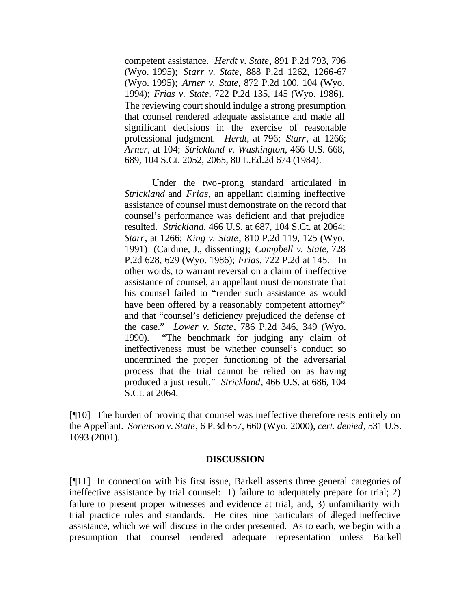competent assistance. *Herdt v. State*, 891 P.2d 793, 796 (Wyo. 1995); *Starr v. State*, 888 P.2d 1262, 1266-67 (Wyo. 1995); *Arner v. State*, 872 P.2d 100, 104 (Wyo. 1994); *Frias v. State*, 722 P.2d 135, 145 (Wyo. 1986). The reviewing court should indulge a strong presumption that counsel rendered adequate assistance and made all significant decisions in the exercise of reasonable professional judgment. *Herdt*, at 796; *Starr*, at 1266; *Arner*, at 104; *Strickland v. Washington*, 466 U.S. 668, 689, 104 S.Ct. 2052, 2065, 80 L.Ed.2d 674 (1984).

Under the two-prong standard articulated in *Strickland* and *Frias*, an appellant claiming ineffective assistance of counsel must demonstrate on the record that counsel's performance was deficient and that prejudice resulted. *Strickland*, 466 U.S. at 687, 104 S.Ct. at 2064; *Starr*, at 1266; *King v. State*, 810 P.2d 119, 125 (Wyo. 1991) (Cardine, J., dissenting); *Campbell v. State*, 728 P.2d 628, 629 (Wyo. 1986); *Frias*, 722 P.2d at 145. In other words, to warrant reversal on a claim of ineffective assistance of counsel, an appellant must demonstrate that his counsel failed to "render such assistance as would have been offered by a reasonably competent attorney" and that "counsel's deficiency prejudiced the defense of the case." *Lower v. State*, 786 P.2d 346, 349 (Wyo. 1990). "The benchmark for judging any claim of ineffectiveness must be whether counsel's conduct so undermined the proper functioning of the adversarial process that the trial cannot be relied on as having produced a just result." *Strickland*, 466 U.S. at 686, 104 S.Ct. at 2064.

[¶10] The burden of proving that counsel was ineffective therefore rests entirely on the Appellant. *Sorenson v. State*, 6 P.3d 657, 660 (Wyo. 2000), *cert. denied*, 531 U.S. 1093 (2001).

#### **DISCUSSION**

[¶11] In connection with his first issue, Barkell asserts three general categories of ineffective assistance by trial counsel: 1) failure to adequately prepare for trial; 2) failure to present proper witnesses and evidence at trial; and, 3) unfamiliarity with trial practice rules and standards. He cites nine particulars of alleged ineffective assistance, which we will discuss in the order presented. As to each, we begin with a presumption that counsel rendered adequate representation unless Barkell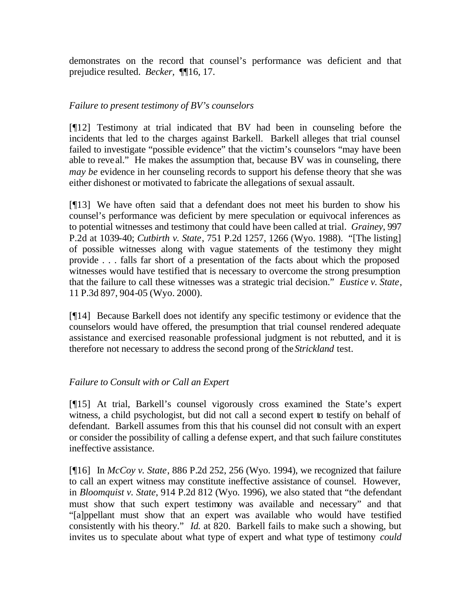demonstrates on the record that counsel's performance was deficient and that prejudice resulted. *Becker,* ¶¶16, 17.

#### *Failure to present testimony of BV's counselors*

[¶12] Testimony at trial indicated that BV had been in counseling before the incidents that led to the charges against Barkell. Barkell alleges that trial counsel failed to investigate "possible evidence" that the victim's counselors "may have been able to reveal." He makes the assumption that, because BV was in counseling, there *may be* evidence in her counseling records to support his defense theory that she was either dishonest or motivated to fabricate the allegations of sexual assault.

[¶13] We have often said that a defendant does not meet his burden to show his counsel's performance was deficient by mere speculation or equivocal inferences as to potential witnesses and testimony that could have been called at trial. *Grainey*, 997 P.2d at 1039-40; *Cutbirth v. State*, 751 P.2d 1257, 1266 (Wyo. 1988). "[The listing] of possible witnesses along with vague statements of the testimony they might provide . . . falls far short of a presentation of the facts about which the proposed witnesses would have testified that is necessary to overcome the strong presumption that the failure to call these witnesses was a strategic trial decision." *Eustice v. State*, 11 P.3d 897, 904-05 (Wyo. 2000).

[¶14] Because Barkell does not identify any specific testimony or evidence that the counselors would have offered, the presumption that trial counsel rendered adequate assistance and exercised reasonable professional judgment is not rebutted, and it is therefore not necessary to address the second prong of the *Strickland* test.

### *Failure to Consult with or Call an Expert*

[¶15] At trial, Barkell's counsel vigorously cross examined the State's expert witness, a child psychologist, but did not call a second expert to testify on behalf of defendant. Barkell assumes from this that his counsel did not consult with an expert or consider the possibility of calling a defense expert, and that such failure constitutes ineffective assistance.

[¶16] In *McCoy v. State*, 886 P.2d 252, 256 (Wyo. 1994), we recognized that failure to call an expert witness may constitute ineffective assistance of counsel. However, in *Bloomquist v. State*, 914 P.2d 812 (Wyo. 1996), we also stated that "the defendant must show that such expert testimony was available and necessary" and that "[a]ppellant must show that an expert was available who would have testified consistently with his theory." *Id.* at 820. Barkell fails to make such a showing, but invites us to speculate about what type of expert and what type of testimony *could*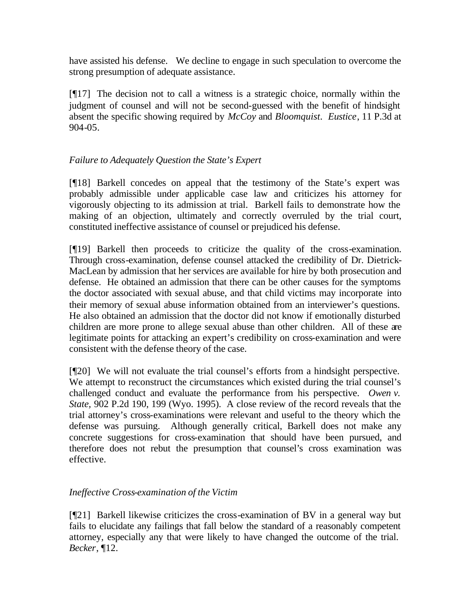have assisted his defense. We decline to engage in such speculation to overcome the strong presumption of adequate assistance.

[¶17] The decision not to call a witness is a strategic choice, normally within the judgment of counsel and will not be second-guessed with the benefit of hindsight absent the specific showing required by *McCoy* and *Bloomquist*. *Eustice*, 11 P.3d at 904-05.

## *Failure to Adequately Question the State's Expert*

[¶18] Barkell concedes on appeal that the testimony of the State's expert was probably admissible under applicable case law and criticizes his attorney for vigorously objecting to its admission at trial. Barkell fails to demonstrate how the making of an objection, ultimately and correctly overruled by the trial court, constituted ineffective assistance of counsel or prejudiced his defense.

[¶19] Barkell then proceeds to criticize the quality of the cross-examination. Through cross-examination, defense counsel attacked the credibility of Dr. Dietrick-MacLean by admission that her services are available for hire by both prosecution and defense. He obtained an admission that there can be other causes for the symptoms the doctor associated with sexual abuse, and that child victims may incorporate into their memory of sexual abuse information obtained from an interviewer's questions. He also obtained an admission that the doctor did not know if emotionally disturbed children are more prone to allege sexual abuse than other children. All of these are legitimate points for attacking an expert's credibility on cross-examination and were consistent with the defense theory of the case.

[¶20] We will not evaluate the trial counsel's efforts from a hindsight perspective. We attempt to reconstruct the circumstances which existed during the trial counsel's challenged conduct and evaluate the performance from his perspective. *Owen v. State,* 902 P.2d 190, 199 (Wyo. 1995). A close review of the record reveals that the trial attorney's cross-examinations were relevant and useful to the theory which the defense was pursuing. Although generally critical, Barkell does not make any concrete suggestions for cross-examination that should have been pursued, and therefore does not rebut the presumption that counsel's cross examination was effective.

### *Ineffective Cross-examination of the Victim*

[¶21] Barkell likewise criticizes the cross-examination of BV in a general way but fails to elucidate any failings that fall below the standard of a reasonably competent attorney, especially any that were likely to have changed the outcome of the trial. *Becker*, ¶12.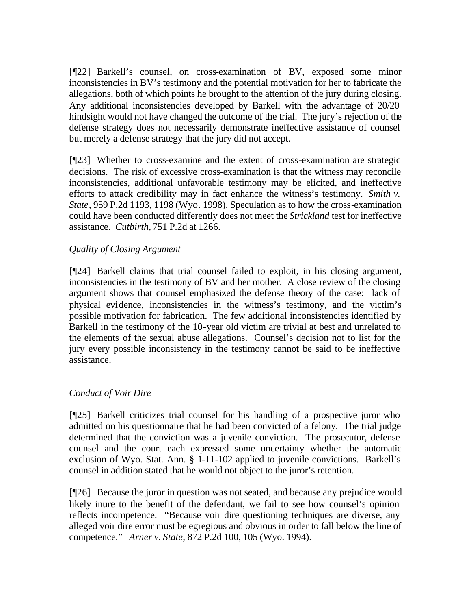[¶22] Barkell's counsel, on cross-examination of BV, exposed some minor inconsistencies in BV's testimony and the potential motivation for her to fabricate the allegations, both of which points he brought to the attention of the jury during closing. Any additional inconsistencies developed by Barkell with the advantage of 20/20 hindsight would not have changed the outcome of the trial. The jury's rejection of the defense strategy does not necessarily demonstrate ineffective assistance of counsel but merely a defense strategy that the jury did not accept.

[¶23] Whether to cross-examine and the extent of cross-examination are strategic decisions. The risk of excessive cross-examination is that the witness may reconcile inconsistencies, additional unfavorable testimony may be elicited, and ineffective efforts to attack credibility may in fact enhance the witness's testimony. *Smith v. State*, 959 P.2d 1193, 1198 (Wyo. 1998). Speculation as to how the cross-examination could have been conducted differently does not meet the *Strickland* test for ineffective assistance. *Cutbirth,* 751 P.2d at 1266.

#### *Quality of Closing Argument*

[¶24] Barkell claims that trial counsel failed to exploit, in his closing argument, inconsistencies in the testimony of BV and her mother. A close review of the closing argument shows that counsel emphasized the defense theory of the case: lack of physical evidence, inconsistencies in the witness's testimony, and the victim's possible motivation for fabrication. The few additional inconsistencies identified by Barkell in the testimony of the 10-year old victim are trivial at best and unrelated to the elements of the sexual abuse allegations. Counsel's decision not to list for the jury every possible inconsistency in the testimony cannot be said to be ineffective assistance.

#### *Conduct of Voir Dire*

[¶25] Barkell criticizes trial counsel for his handling of a prospective juror who admitted on his questionnaire that he had been convicted of a felony. The trial judge determined that the conviction was a juvenile conviction. The prosecutor, defense counsel and the court each expressed some uncertainty whether the automatic exclusion of Wyo. Stat. Ann. § 1-11-102 applied to juvenile convictions. Barkell's counsel in addition stated that he would not object to the juror's retention.

[¶26] Because the juror in question was not seated, and because any prejudice would likely inure to the benefit of the defendant, we fail to see how counsel's opinion reflects incompetence. "Because voir dire questioning techniques are diverse, any alleged voir dire error must be egregious and obvious in order to fall below the line of competence." *Arner v. State*, 872 P.2d 100, 105 (Wyo. 1994).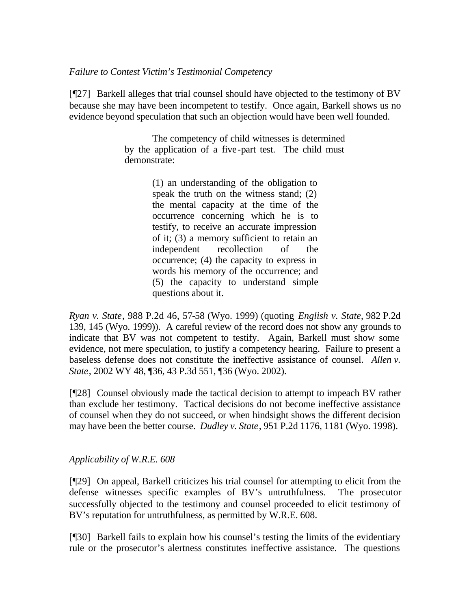#### *Failure to Contest Victim's Testimonial Competency*

[¶27] Barkell alleges that trial counsel should have objected to the testimony of BV because she may have been incompetent to testify. Once again, Barkell shows us no evidence beyond speculation that such an objection would have been well founded.

> The competency of child witnesses is determined by the application of a five-part test. The child must demonstrate:

> > (1) an understanding of the obligation to speak the truth on the witness stand; (2) the mental capacity at the time of the occurrence concerning which he is to testify, to receive an accurate impression of it; (3) a memory sufficient to retain an independent recollection of the occurrence; (4) the capacity to express in words his memory of the occurrence; and (5) the capacity to understand simple questions about it.

*Ryan v. State*, 988 P.2d 46, 57-58 (Wyo. 1999) (quoting *English v. State*, 982 P.2d 139, 145 (Wyo. 1999)). A careful review of the record does not show any grounds to indicate that BV was not competent to testify. Again, Barkell must show some evidence, not mere speculation, to justify a competency hearing. Failure to present a baseless defense does not constitute the ineffective assistance of counsel. *Allen v. State*, 2002 WY 48, ¶36, 43 P.3d 551, ¶36 (Wyo. 2002).

[¶28] Counsel obviously made the tactical decision to attempt to impeach BV rather than exclude her testimony. Tactical decisions do not become ineffective assistance of counsel when they do not succeed, or when hindsight shows the different decision may have been the better course. *Dudley v. State*, 951 P.2d 1176, 1181 (Wyo. 1998).

### *Applicability of W.R.E. 608*

[¶29] On appeal, Barkell criticizes his trial counsel for attempting to elicit from the defense witnesses specific examples of BV's untruthfulness. The prosecutor successfully objected to the testimony and counsel proceeded to elicit testimony of BV's reputation for untruthfulness, as permitted by W.R.E. 608.

[¶30] Barkell fails to explain how his counsel's testing the limits of the evidentiary rule or the prosecutor's alertness constitutes ineffective assistance. The questions